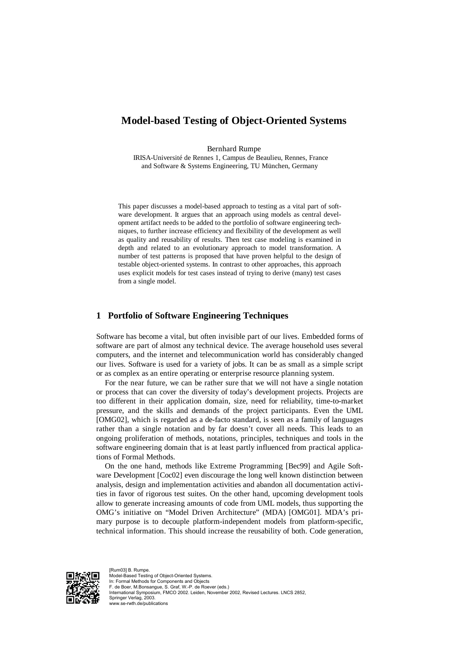# **Model-based Testing of Object-Oriented Systems**

Bernhard Rumpe

IRISA-Université de Rennes 1, Campus de Beaulieu, Rennes, France and Software & Systems Engineering, TU München, Germany

This paper discusses a model-based approach to testing as a vital part of software development. It argues that an approach using models as central development artifact needs to be added to the portfolio of software engineering techniques, to further increase efficiency and flexibility of the development as well as quality and reusability of results. Then test case modeling is examined in depth and related to an evolutionary approach to model transformation. A number of test patterns is proposed that have proven helpful to the design of testable object-oriented systems. In contrast to other approaches, this approach uses explicit models for test cases instead of trying to derive (many) test cases from a single model.

### **1 Portfolio of Software Engineering Techniques**

Software has become a vital, but often invisible part of our lives. Embedded forms of software are part of almost any technical device. The average household uses several computers, and the internet and telecommunication world has considerably changed our lives. Software is used for a variety of jobs. It can be as small as a simple script or as complex as an entire operating or enterprise resource planning system.

For the near future, we can be rather sure that we will not have a single notation or process that can cover the diversity of today's development projects. Projects are too different in their application domain, size, need for reliability, time-to-market pressure, and the skills and demands of the project participants. Even the UML [OMG02], which is regarded as a de-facto standard, is seen as a family of languages rather than a single notation and by far doesn't cover all needs. This leads to an ongoing proliferation of methods, notations, principles, techniques and tools in the software engineering domain that is at least partly influenced from practical applications of Formal Methods.

On the one hand, methods like Extreme Programming [Bec99] and Agile Software Development [Coc02] even discourage the long well known distinction between analysis, design and implementation activities and abandon all documentation activities in favor of rigorous test suites. On the other hand, upcoming development tools allow to generate increasing amounts of code from UML models, thus supporting the OMG's initiative on "Model Driven Architecture" (MDA) [OMG01]. MDA's primary purpose is to decouple platform-independent models from platform-specific, technical information. This should increase the reusability of both. Code generation,

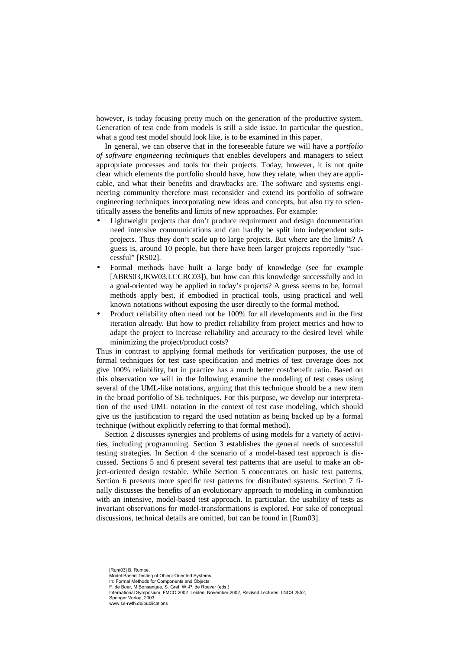however, is today focusing pretty much on the generation of the productive system. Generation of test code from models is still a side issue. In particular the question, what a good test model should look like, is to be examined in this paper.

In general, we can observe that in the foreseeable future we will have a *portfolio of software engineering techniques* that enables developers and managers to select appropriate processes and tools for their projects. Today, however, it is not quite clear which elements the portfolio should have, how they relate, when they are applicable, and what their benefits and drawbacks are. The software and systems engineering community therefore must reconsider and extend its portfolio of software engineering techniques incorporating new ideas and concepts, but also try to scientifically assess the benefits and limits of new approaches. For example:

- Lightweight projects that don't produce requirement and design documentation need intensive communications and can hardly be split into independent subprojects. Thus they don't scale up to large projects. But where are the limits? A guess is, around 10 people, but there have been larger projects reportedly "successful" [RS02].
- Formal methods have built a large body of knowledge (see for example [ABRS03,JKW03,LCCRC03]), but how can this knowledge successfully and in a goal-oriented way be applied in today's projects? A guess seems to be, formal methods apply best, if embodied in practical tools, using practical and well known notations without exposing the user directly to the formal method.
- Product reliability often need not be 100% for all developments and in the first iteration already. But how to predict reliability from project metrics and how to adapt the project to increase reliability and accuracy to the desired level while minimizing the project/product costs?

Thus in contrast to applying formal methods for verification purposes, the use of formal techniques for test case specification and metrics of test coverage does not give 100% reliability, but in practice has a much better cost/benefit ratio. Based on this observation we will in the following examine the modeling of test cases using several of the UML-like notations, arguing that this technique should be a new item in the broad portfolio of SE techniques. For this purpose, we develop our interpretation of the used UML notation in the context of test case modeling, which should give us the justification to regard the used notation as being backed up by a formal technique (without explicitly referring to that formal method).

Section 2 discusses synergies and problems of using models for a variety of activities, including programming. Section 3 establishes the general needs of successful testing strategies. In Section 4 the scenario of a model-based test approach is discussed. Sections 5 and 6 present several test patterns that are useful to make an object-oriented design testable. While Section 5 concentrates on basic test patterns, Section 6 presents more specific test patterns for distributed systems. Section 7 finally discusses the benefits of an evolutionary approach to modeling in combination with an intensive, model-based test approach. In particular, the usability of tests as invariant observations for model-transformations is explored. For sake of conceptual discussions, technical details are omitted, but can be found in [Rum03].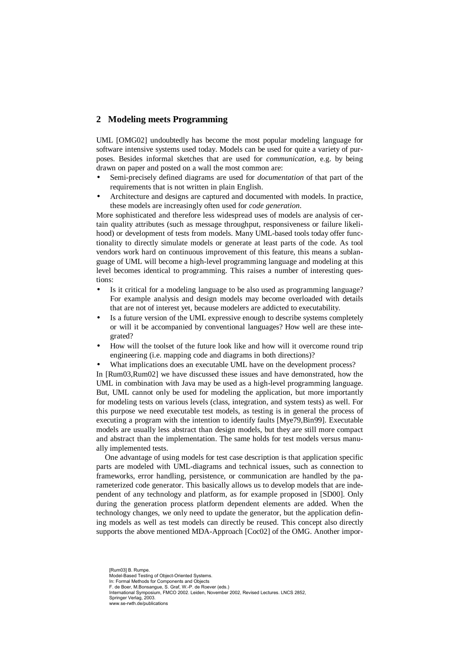### **2 Modeling meets Programming**

UML [OMG02] undoubtedly has become the most popular modeling language for software intensive systems used today. Models can be used for quite a variety of purposes. Besides informal sketches that are used for *communication*, e.g. by being drawn on paper and posted on a wall the most common are:

- Semi-precisely defined diagrams are used for *documentation* of that part of the requirements that is not written in plain English.
- Architecture and designs are captured and documented with models. In practice, these models are increasingly often used for *code generation*.

More sophisticated and therefore less widespread uses of models are analysis of certain quality attributes (such as message throughput, responsiveness or failure likelihood) or development of tests from models. Many UML-based tools today offer functionality to directly simulate models or generate at least parts of the code. As tool vendors work hard on continuous improvement of this feature, this means a sublanguage of UML will become a high-level programming language and modeling at this level becomes identical to programming. This raises a number of interesting questions:

- Is it critical for a modeling language to be also used as programming language? For example analysis and design models may become overloaded with details that are not of interest yet, because modelers are addicted to executability.
- Is a future version of the UML expressive enough to describe systems completely or will it be accompanied by conventional languages? How well are these integrated?
- How will the toolset of the future look like and how will it overcome round trip engineering (i.e. mapping code and diagrams in both directions)?
- What implications does an executable UML have on the development process?

In [Rum03,Rum02] we have discussed these issues and have demonstrated, how the UML in combination with Java may be used as a high-level programming language. But, UML cannot only be used for modeling the application, but more importantly for modeling tests on various levels (class, integration, and system tests) as well. For this purpose we need executable test models, as testing is in general the process of executing a program with the intention to identify faults [Mye79,Bin99]. Executable models are usually less abstract than design models, but they are still more compact and abstract than the implementation. The same holds for test models versus manually implemented tests.

One advantage of using models for test case description is that application specific parts are modeled with UML-diagrams and technical issues, such as connection to frameworks, error handling, persistence, or communication are handled by the parameterized code generator. This basically allows us to develop models that are independent of any technology and platform, as for example proposed in [SD00]. Only during the generation process platform dependent elements are added. When the technology changes, we only need to update the generator, but the application defining models as well as test models can directly be reused. This concept also directly supports the above mentioned MDA-Approach [Coc02] of the OMG. Another impor-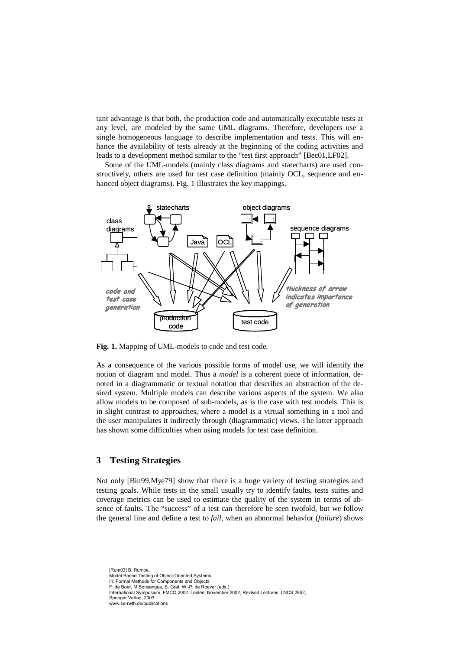tant advantage is that both, the production code and automatically executable tests at any level, are modeled by the same UML diagrams. Therefore, developers use a single homogeneous language to describe implementation and tests. This will enhance the availability of tests already at the beginning of the coding activities and leads to a development method similar to the "test first approach" [Bec01,LF02].

Some of the UML-models (mainly class diagrams and statecharts) are used constructively, others are used for test case definition (mainly OCL, sequence and enhanced object diagrams). Fig. 1 illustrates the key mappings.



**Fig. 1.** Mapping of UML-models to code and test code.

As a consequence of the various possible forms of model use, we will identify the notion of diagram and model. Thus a *model* is a coherent piece of information, denoted in a diagrammatic or textual notation that describes an abstraction of the desired system. Multiple models can describe various aspects of the system. We also allow models to be composed of sub-models, as is the case with test models. This is in slight contrast to approaches, where a model is a virtual something in a tool and the user manipulates it indirectly through (diagrammatic) views. The latter approach has shown some difficulties when using models for test case definition.

# **3 Testing Strategies**

Not only [Bin99,Mye79] show that there is a huge variety of testing strategies and testing goals. While tests in the small usually try to identify faults, tests suites and coverage metrics can be used to estimate the quality of the system in terms of absence of faults. The "success" of a test can therefore be seen twofold, but we follow the general line and define a test to *fail*, when an abnormal behavior (*failure*) shows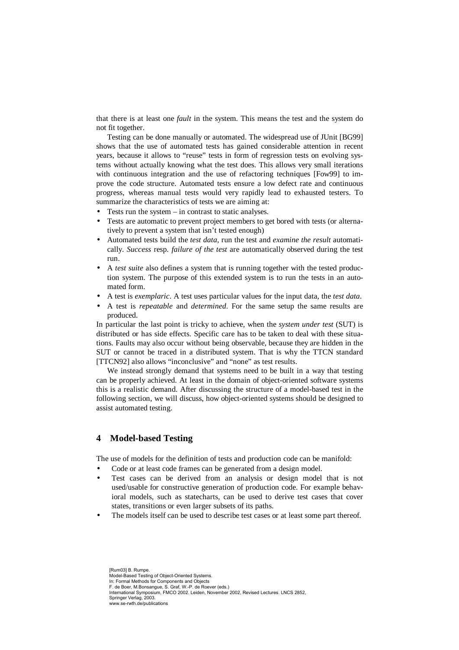that there is at least one *fault* in the system. This means the test and the system do not fit together.

Testing can be done manually or automated. The widespread use of JUnit [BG99] shows that the use of automated tests has gained considerable attention in recent years, because it allows to "reuse" tests in form of regression tests on evolving systems without actually knowing what the test does. This allows very small iterations with continuous integration and the use of refactoring techniques [Fow99] to improve the code structure. Automated tests ensure a low defect rate and continuous progress, whereas manual tests would very rapidly lead to exhausted testers. To summarize the characteristics of tests we are aiming at:

- Tests run the system  $-$  in contrast to static analyses.
- Tests are automatic to prevent project members to get bored with tests (or alternatively to prevent a system that isn't tested enough)
- Automated tests build the *test data*, run the test and *examine the result* automatically. *Success* resp. *failure of the test* are automatically observed during the test run.
- A *test suite* also defines a system that is running together with the tested production system. The purpose of this extended system is to run the tests in an automated form.
- A test is *exemplaric*. A test uses particular values for the input data, the *test data*.
- A test is *repeatable* and *determined*. For the same setup the same results are produced.

In particular the last point is tricky to achieve, when the *system under test* (SUT) is distributed or has side effects. Specific care has to be taken to deal with these situations. Faults may also occur without being observable, because they are hidden in the SUT or cannot be traced in a distributed system. That is why the TTCN standard [TTCN92] also allows "inconclusive" and "none" as test results.

We instead strongly demand that systems need to be built in a way that testing can be properly achieved. At least in the domain of object-oriented software systems this is a realistic demand. After discussing the structure of a model-based test in the following section, we will discuss, how object-oriented systems should be designed to assist automated testing.

### **4 Model-based Testing**

The use of models for the definition of tests and production code can be manifold:

- Code or at least code frames can be generated from a design model.
- Test cases can be derived from an analysis or design model that is not used/usable for constructive generation of production code. For example behavioral models, such as statecharts, can be used to derive test cases that cover states, transitions or even larger subsets of its paths.
- The models itself can be used to describe test cases or at least some part thereof.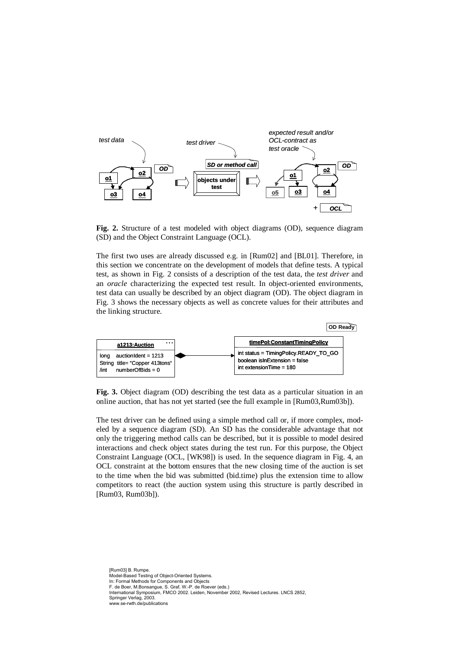

**Fig. 2.** Structure of a test modeled with object diagrams (OD), sequence diagram (SD) and the Object Constraint Language (OCL).

The first two uses are already discussed e.g. in [Rum02] and [BL01]. Therefore, in this section we concentrate on the development of models that define tests. A typical test, as shown in Fig. 2 consists of a description of the test data, the *test driver* and an *oracle* characterizing the expected test result. In object-oriented environments, test data can usually be described by an object diagram (OD). The object diagram in Fig. 3 shows the necessary objects as well as concrete values for their attributes and the linking structure.



**Fig. 3.** Object diagram (OD) describing the test data as a particular situation in an online auction, that has not yet started (see the full example in [Rum03,Rum03b]).

The test driver can be defined using a simple method call or, if more complex, modeled by a sequence diagram (SD). An SD has the considerable advantage that not only the triggering method calls can be described, but it is possible to model desired interactions and check object states during the test run. For this purpose, the Object Constraint Language (OCL, [WK98]) is used. In the sequence diagram in Fig. 4, an OCL constraint at the bottom ensures that the new closing time of the auction is set to the time when the bid was submitted (bid.time) plus the extension time to allow competitors to react (the auction system using this structure is partly described in [Rum03, Rum03b]).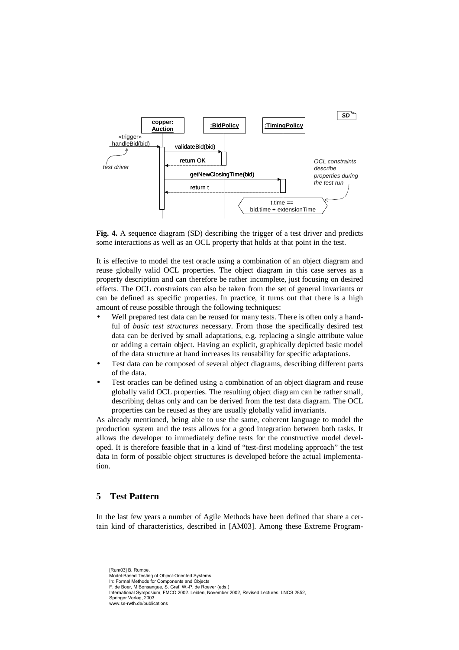

**Fig. 4.** A sequence diagram (SD) describing the trigger of a test driver and predicts some interactions as well as an OCL property that holds at that point in the test.

It is effective to model the test oracle using a combination of an object diagram and reuse globally valid OCL properties. The object diagram in this case serves as a property description and can therefore be rather incomplete, just focusing on desired effects. The OCL constraints can also be taken from the set of general invariants or can be defined as specific properties. In practice, it turns out that there is a high amount of reuse possible through the following techniques:

- Well prepared test data can be reused for many tests. There is often only a handful of *basic test structures* necessary. From those the specifically desired test data can be derived by small adaptations, e.g. replacing a single attribute value or adding a certain object. Having an explicit, graphically depicted basic model of the data structure at hand increases its reusability for specific adaptations.
- Test data can be composed of several object diagrams, describing different parts of the data.
- Test oracles can be defined using a combination of an object diagram and reuse globally valid OCL properties. The resulting object diagram can be rather small, describing deltas only and can be derived from the test data diagram. The OCL properties can be reused as they are usually globally valid invariants.

As already mentioned, being able to use the same, coherent language to model the production system and the tests allows for a good integration between both tasks. It allows the developer to immediately define tests for the constructive model developed. It is therefore feasible that in a kind of "test-first modeling approach" the test data in form of possible object structures is developed before the actual implementation.

# **5 Test Pattern**

In the last few years a number of Agile Methods have been defined that share a certain kind of characteristics, described in [AM03]. Among these Extreme Program-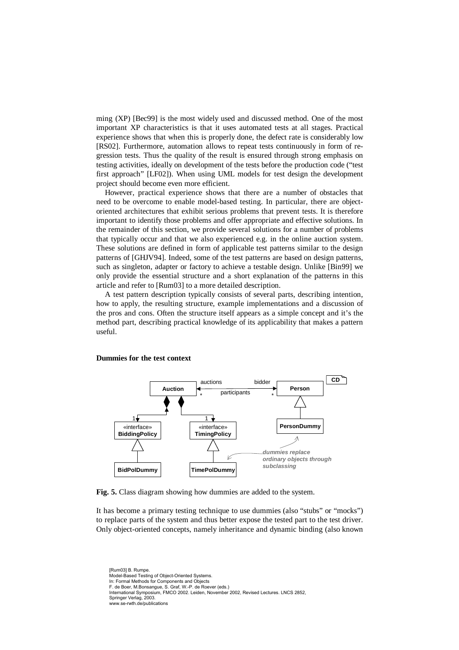ming (XP) [Bec99] is the most widely used and discussed method. One of the most important XP characteristics is that it uses automated tests at all stages. Practical experience shows that when this is properly done, the defect rate is considerably low [RS02]. Furthermore, automation allows to repeat tests continuously in form of regression tests. Thus the quality of the result is ensured through strong emphasis on testing activities, ideally on development of the tests before the production code ("test first approach" [LF02]). When using UML models for test design the development project should become even more efficient.

However, practical experience shows that there are a number of obstacles that need to be overcome to enable model-based testing. In particular, there are objectoriented architectures that exhibit serious problems that prevent tests. It is therefore important to identify those problems and offer appropriate and effective solutions. In the remainder of this section, we provide several solutions for a number of problems that typically occur and that we also experienced e.g. in the online auction system. These solutions are defined in form of applicable test patterns similar to the design patterns of [GHJV94]. Indeed, some of the test patterns are based on design patterns, such as singleton, adapter or factory to achieve a testable design. Unlike [Bin99] we only provide the essential structure and a short explanation of the patterns in this article and refer to [Rum03] to a more detailed description.

A test pattern description typically consists of several parts, describing intention, how to apply, the resulting structure, example implementations and a discussion of the pros and cons. Often the structure itself appears as a simple concept and it's the method part, describing practical knowledge of its applicability that makes a pattern useful.



#### **Dummies for the test context**

**Fig. 5.** Class diagram showing how dummies are added to the system.

It has become a primary testing technique to use dummies (also "stubs" or "mocks") to replace parts of the system and thus better expose the tested part to the test driver. Only object-oriented concepts, namely inheritance and dynamic binding (also known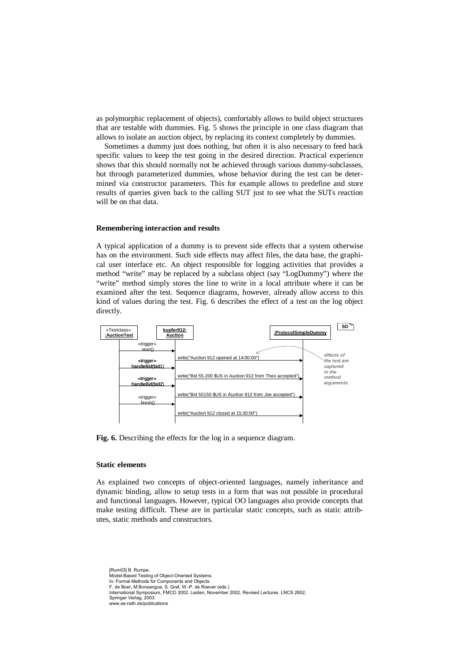as polymorphic replacement of objects), comfortably allows to build object structures that are testable with dummies. Fig. 5 shows the principle in one class diagram that allows to isolate an auction object, by replacing its context completely by dummies.

 Sometimes a dummy just does nothing, but often it is also necessary to feed back specific values to keep the test going in the desired direction. Practical experience shows that this should normally not be achieved through various dummy-subclasses, but through parameterized dummies, whose behavior during the test can be determined via constructor parameters. This for example allows to predefine and store results of queries given back to the calling SUT just to see what the SUTs reaction will be on that data.

### **Remembering interaction and results**

A typical application of a dummy is to prevent side effects that a system otherwise has on the environment. Such side effects may affect files, the data base, the graphical user interface etc. An object responsible for logging activities that provides a method "write" may be replaced by a subclass object (say "LogDummy") where the "write" method simply stores the line to write in a local attribute where it can be examined after the test. Sequence diagrams, however, already allow access to this kind of values during the test. Fig. 6 describes the effect of a test on the log object directly.



**Fig. 6.** Describing the effects for the log in a sequence diagram.

#### **Static elements**

As explained two concepts of object-oriented languages, namely inheritance and dynamic binding, allow to setup tests in a form that was not possible in procedural and functional languages. However, typical OO languages also provide concepts that make testing difficult. These are in particular static concepts, such as static attributes, static methods and constructors.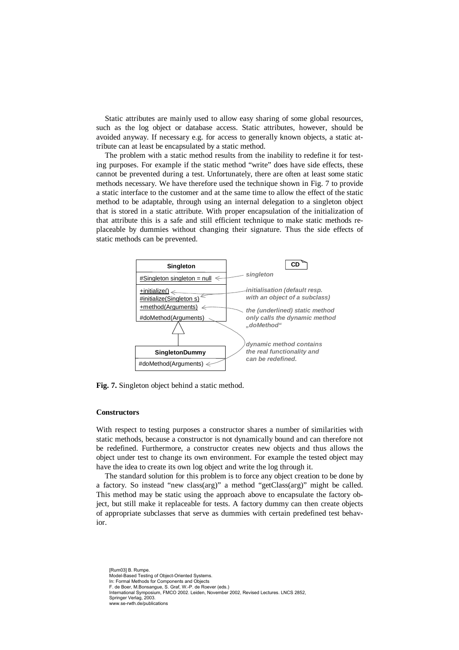Static attributes are mainly used to allow easy sharing of some global resources, such as the log object or database access. Static attributes, however, should be avoided anyway. If necessary e.g. for access to generally known objects, a static attribute can at least be encapsulated by a static method.

The problem with a static method results from the inability to redefine it for testing purposes. For example if the static method "write" does have side effects, these cannot be prevented during a test. Unfortunately, there are often at least some static methods necessary. We have therefore used the technique shown in Fig. 7 to provide a static interface to the customer and at the same time to allow the effect of the static method to be adaptable, through using an internal delegation to a singleton object that is stored in a static attribute. With proper encapsulation of the initialization of that attribute this is a safe and still efficient technique to make static methods replaceable by dummies without changing their signature. Thus the side effects of static methods can be prevented.



**Fig. 7.** Singleton object behind a static method.

#### **Constructors**

With respect to testing purposes a constructor shares a number of similarities with static methods, because a constructor is not dynamically bound and can therefore not be redefined. Furthermore, a constructor creates new objects and thus allows the object under test to change its own environment. For example the tested object may have the idea to create its own log object and write the log through it.

The standard solution for this problem is to force any object creation to be done by a factory. So instead "new class(arg)" a method "getClass(arg)" might be called. This method may be static using the approach above to encapsulate the factory object, but still make it replaceable for tests. A factory dummy can then create objects of appropriate subclasses that serve as dummies with certain predefined test behavior.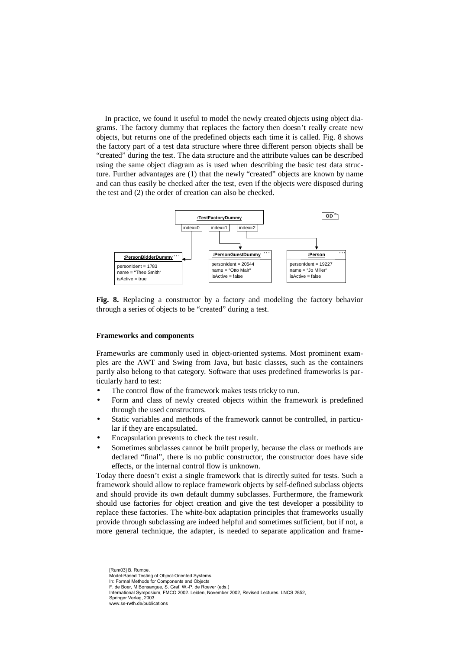In practice, we found it useful to model the newly created objects using object diagrams. The factory dummy that replaces the factory then doesn't really create new objects, but returns one of the predefined objects each time it is called. Fig. 8 shows the factory part of a test data structure where three different person objects shall be "created" during the test. The data structure and the attribute values can be described using the same object diagram as is used when describing the basic test data structure. Further advantages are (1) that the newly "created" objects are known by name and can thus easily be checked after the test, even if the objects were disposed during the test and (2) the order of creation can also be checked.



**Fig. 8.** Replacing a constructor by a factory and modeling the factory behavior through a series of objects to be "created" during a test.

#### **Frameworks and components**

Frameworks are commonly used in object-oriented systems. Most prominent examples are the AWT and Swing from Java, but basic classes, such as the containers partly also belong to that category. Software that uses predefined frameworks is particularly hard to test:

- The control flow of the framework makes tests tricky to run.
- Form and class of newly created objects within the framework is predefined through the used constructors.
- Static variables and methods of the framework cannot be controlled, in particular if they are encapsulated.
- Encapsulation prevents to check the test result.
- Sometimes subclasses cannot be built properly, because the class or methods are declared "final", there is no public constructor, the constructor does have side effects, or the internal control flow is unknown.

Today there doesn't exist a single framework that is directly suited for tests. Such a framework should allow to replace framework objects by self-defined subclass objects and should provide its own default dummy subclasses. Furthermore, the framework should use factories for object creation and give the test developer a possibility to replace these factories. The white-box adaptation principles that frameworks usually provide through subclassing are indeed helpful and sometimes sufficient, but if not, a more general technique, the adapter, is needed to separate application and frame-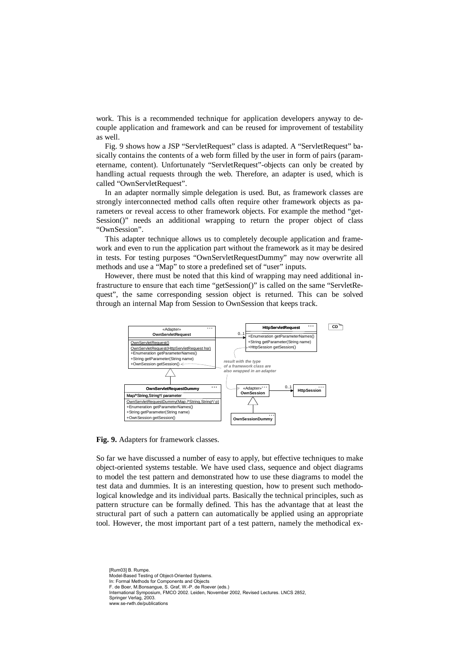work. This is a recommended technique for application developers anyway to decouple application and framework and can be reused for improvement of testability as well.

Fig. 9 shows how a JSP "ServletRequest" class is adapted. A "ServletRequest" basically contains the contents of a web form filled by the user in form of pairs (parametername, content). Unfortunately "ServletRequest"-objects can only be created by handling actual requests through the web. Therefore, an adapter is used, which is called "OwnServletRequest".

In an adapter normally simple delegation is used. But, as framework classes are strongly interconnected method calls often require other framework objects as parameters or reveal access to other framework objects. For example the method "get-Session()" needs an additional wrapping to return the proper object of class "OwnSession".

This adapter technique allows us to completely decouple application and framework and even to run the application part without the framework as it may be desired in tests. For testing purposes "OwnServletRequestDummy" may now overwrite all methods and use a "Map" to store a predefined set of "user" inputs.

However, there must be noted that this kind of wrapping may need additional infrastructure to ensure that each time "getSession()" is called on the same "ServletRequest", the same corresponding session object is returned. This can be solved through an internal Map from Session to OwnSession that keeps track.



**Fig. 9.** Adapters for framework classes.

So far we have discussed a number of easy to apply, but effective techniques to make object-oriented systems testable. We have used class, sequence and object diagrams to model the test pattern and demonstrated how to use these diagrams to model the test data and dummies. It is an interesting question, how to present such methodological knowledge and its individual parts. Basically the technical principles, such as pattern structure can be formally defined. This has the advantage that at least the structural part of such a pattern can automatically be applied using an appropriate tool. However, the most important part of a test pattern, namely the methodical ex-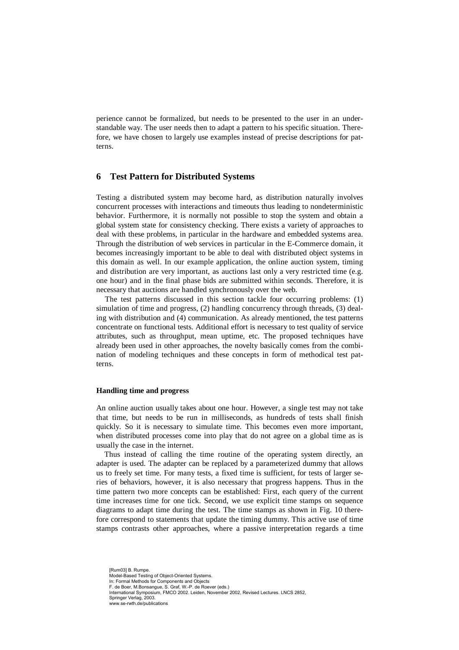perience cannot be formalized, but needs to be presented to the user in an understandable way. The user needs then to adapt a pattern to his specific situation. Therefore, we have chosen to largely use examples instead of precise descriptions for patterns.

### **6 Test Pattern for Distributed Systems**

Testing a distributed system may become hard, as distribution naturally involves concurrent processes with interactions and timeouts thus leading to nondeterministic behavior. Furthermore, it is normally not possible to stop the system and obtain a global system state for consistency checking. There exists a variety of approaches to deal with these problems, in particular in the hardware and embedded systems area. Through the distribution of web services in particular in the E-Commerce domain, it becomes increasingly important to be able to deal with distributed object systems in this domain as well. In our example application, the online auction system, timing and distribution are very important, as auctions last only a very restricted time (e.g. one hour) and in the final phase bids are submitted within seconds. Therefore, it is necessary that auctions are handled synchronously over the web.

The test patterns discussed in this section tackle four occurring problems: (1) simulation of time and progress, (2) handling concurrency through threads, (3) dealing with distribution and (4) communication. As already mentioned, the test patterns concentrate on functional tests. Additional effort is necessary to test quality of service attributes, such as throughput, mean uptime, etc. The proposed techniques have already been used in other approaches, the novelty basically comes from the combination of modeling techniques and these concepts in form of methodical test patterns.

#### **Handling time and progress**

An online auction usually takes about one hour. However, a single test may not take that time, but needs to be run in milliseconds, as hundreds of tests shall finish quickly. So it is necessary to simulate time. This becomes even more important, when distributed processes come into play that do not agree on a global time as is usually the case in the internet.

Thus instead of calling the time routine of the operating system directly, an adapter is used. The adapter can be replaced by a parameterized dummy that allows us to freely set time. For many tests, a fixed time is sufficient, for tests of larger series of behaviors, however, it is also necessary that progress happens. Thus in the time pattern two more concepts can be established: First, each query of the current time increases time for one tick. Second, we use explicit time stamps on sequence diagrams to adapt time during the test. The time stamps as shown in Fig. 10 therefore correspond to statements that update the timing dummy. This active use of time stamps contrasts other approaches, where a passive interpretation regards a time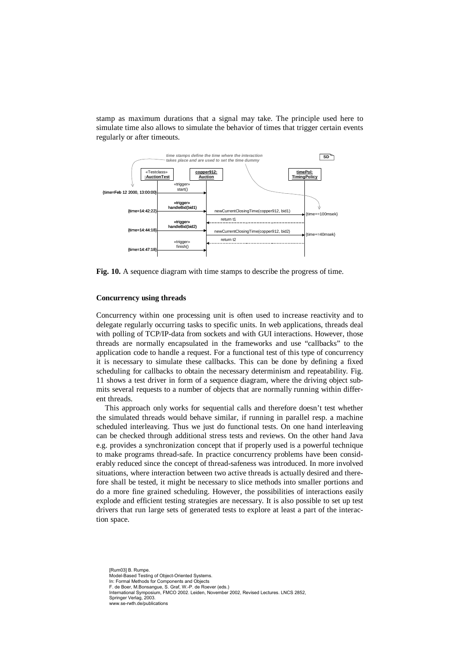stamp as maximum durations that a signal may take. The principle used here to simulate time also allows to simulate the behavior of times that trigger certain events regularly or after timeouts.



**Fig. 10.** A sequence diagram with time stamps to describe the progress of time.

#### **Concurrency using threads**

Concurrency within one processing unit is often used to increase reactivity and to delegate regularly occurring tasks to specific units. In web applications, threads deal with polling of TCP/IP-data from sockets and with GUI interactions. However, those threads are normally encapsulated in the frameworks and use "callbacks" to the application code to handle a request. For a functional test of this type of concurrency it is necessary to simulate these callbacks. This can be done by defining a fixed scheduling for callbacks to obtain the necessary determinism and repeatability. Fig. 11 shows a test driver in form of a sequence diagram, where the driving object submits several requests to a number of objects that are normally running within different threads.

This approach only works for sequential calls and therefore doesn't test whether the simulated threads would behave similar, if running in parallel resp. a machine scheduled interleaving. Thus we just do functional tests. On one hand interleaving can be checked through additional stress tests and reviews. On the other hand Java e.g. provides a synchronization concept that if properly used is a powerful technique to make programs thread-safe. In practice concurrency problems have been considerably reduced since the concept of thread-safeness was introduced. In more involved situations, where interaction between two active threads is actually desired and therefore shall be tested, it might be necessary to slice methods into smaller portions and do a more fine grained scheduling. However, the possibilities of interactions easily explode and efficient testing strategies are necessary. It is also possible to set up test drivers that run large sets of generated tests to explore at least a part of the interaction space.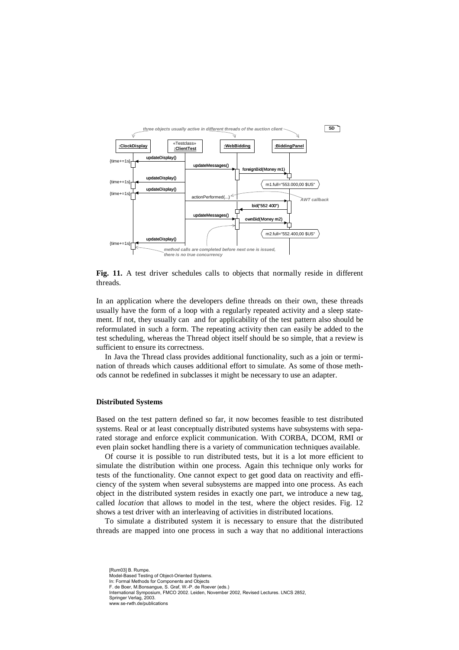

**Fig. 11.** A test driver schedules calls to objects that normally reside in different threads.

In an application where the developers define threads on their own, these threads usually have the form of a loop with a regularly repeated activity and a sleep statement. If not, they usually can and for applicability of the test pattern also should be reformulated in such a form. The repeating activity then can easily be added to the test scheduling, whereas the Thread object itself should be so simple, that a review is sufficient to ensure its correctness.

In Java the Thread class provides additional functionality, such as a join or termination of threads which causes additional effort to simulate. As some of those methods cannot be redefined in subclasses it might be necessary to use an adapter.

#### **Distributed Systems**

Based on the test pattern defined so far, it now becomes feasible to test distributed systems. Real or at least conceptually distributed systems have subsystems with separated storage and enforce explicit communication. With CORBA, DCOM, RMI or even plain socket handling there is a variety of communication techniques available.

Of course it is possible to run distributed tests, but it is a lot more efficient to simulate the distribution within one process. Again this technique only works for tests of the functionality. One cannot expect to get good data on reactivity and efficiency of the system when several subsystems are mapped into one process. As each object in the distributed system resides in exactly one part, we introduce a new tag, called *location* that allows to model in the test, where the object resides. Fig. 12 shows a test driver with an interleaving of activities in distributed locations.

To simulate a distributed system it is necessary to ensure that the distributed threads are mapped into one process in such a way that no additional interactions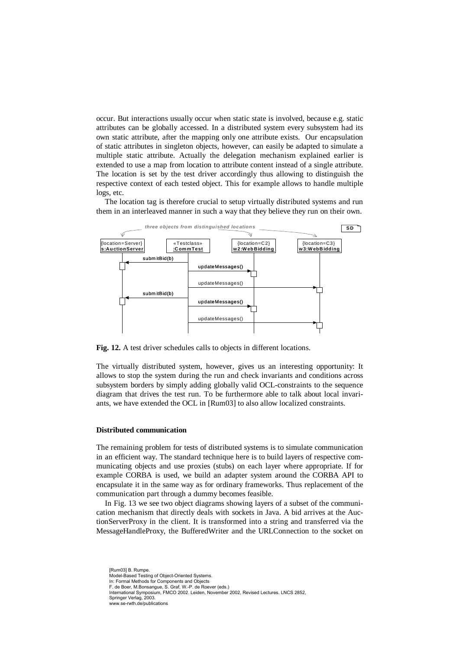occur. But interactions usually occur when static state is involved, because e.g. static attributes can be globally accessed. In a distributed system every subsystem had its own static attribute, after the mapping only one attribute exists. Our encapsulation of static attributes in singleton objects, however, can easily be adapted to simulate a multiple static attribute. Actually the delegation mechanism explained earlier is extended to use a map from location to attribute content instead of a single attribute. The location is set by the test driver accordingly thus allowing to distinguish the respective context of each tested object. This for example allows to handle multiple logs, etc.

The location tag is therefore crucial to setup virtually distributed systems and run them in an interleaved manner in such a way that they believe they run on their own.



**Fig. 12.** A test driver schedules calls to objects in different locations.

The virtually distributed system, however, gives us an interesting opportunity: It allows to stop the system during the run and check invariants and conditions across subsystem borders by simply adding globally valid OCL-constraints to the sequence diagram that drives the test run. To be furthermore able to talk about local invariants, we have extended the OCL in [Rum03] to also allow localized constraints.

### **Distributed communication**

The remaining problem for tests of distributed systems is to simulate communication in an efficient way. The standard technique here is to build layers of respective communicating objects and use proxies (stubs) on each layer where appropriate. If for example CORBA is used, we build an adapter system around the CORBA API to encapsulate it in the same way as for ordinary frameworks. Thus replacement of the communication part through a dummy becomes feasible.

In Fig. 13 we see two object diagrams showing layers of a subset of the communication mechanism that directly deals with sockets in Java. A bid arrives at the AuctionServerProxy in the client. It is transformed into a string and transferred via the MessageHandleProxy, the BufferedWriter and the URLConnection to the socket on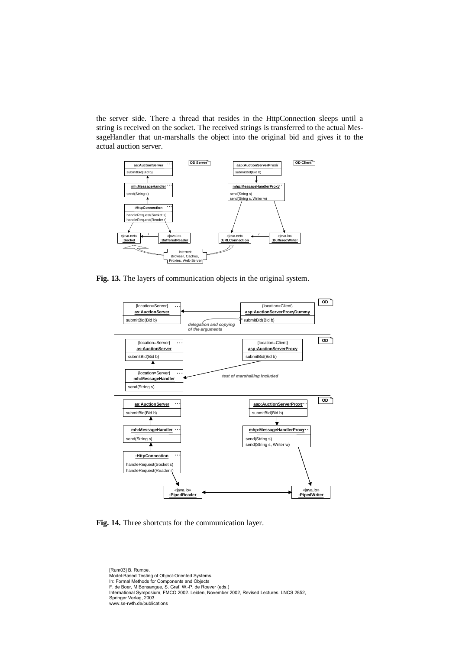the server side. There a thread that resides in the HttpConnection sleeps until a string is received on the socket. The received strings is transferred to the actual MessageHandler that un-marshalls the object into the original bid and gives it to the actual auction server.



**Fig. 13.** The layers of communication objects in the original system.



**Fig. 14.** Three shortcuts for the communication layer.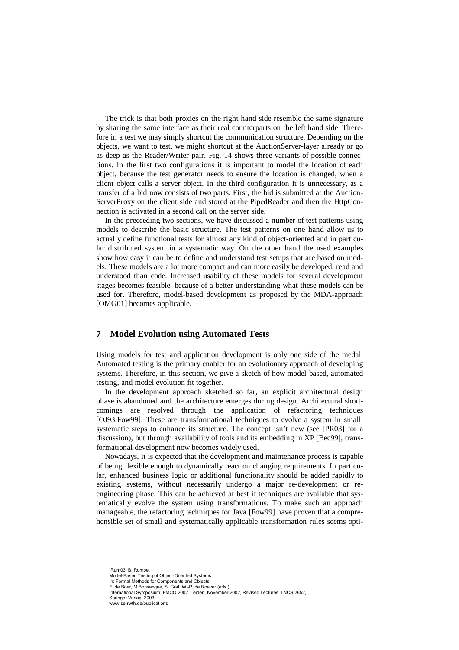The trick is that both proxies on the right hand side resemble the same signature by sharing the same interface as their real counterparts on the left hand side. Therefore in a test we may simply shortcut the communication structure. Depending on the objects, we want to test, we might shortcut at the AuctionServer-layer already or go as deep as the Reader/Writer-pair. Fig. 14 shows three variants of possible connections. In the first two configurations it is important to model the location of each object, because the test generator needs to ensure the location is changed, when a client object calls a server object. In the third configuration it is unnecessary, as a transfer of a bid now consists of two parts. First, the bid is submitted at the Auction-ServerProxy on the client side and stored at the PipedReader and then the HttpConnection is activated in a second call on the server side.

In the preceeding two sections, we have discussed a number of test patterns using models to describe the basic structure. The test patterns on one hand allow us to actually define functional tests for almost any kind of object-oriented and in particular distributed system in a systematic way. On the other hand the used examples show how easy it can be to define and understand test setups that are based on models. These models are a lot more compact and can more easily be developed, read and understood than code. Increased usability of these models for several development stages becomes feasible, because of a better understanding what these models can be used for. Therefore, model-based development as proposed by the MDA-approach [OMG01] becomes applicable.

## **7 Model Evolution using Automated Tests**

Using models for test and application development is only one side of the medal. Automated testing is the primary enabler for an evolutionary approach of developing systems. Therefore, in this section, we give a sketch of how model-based, automated testing, and model evolution fit together.

In the development approach sketched so far, an explicit architectural design phase is abandoned and the architecture emerges during design. Architectural shortcomings are resolved through the application of refactoring techniques [OJ93,Fow99]. These are transformational techniques to evolve a system in small, systematic steps to enhance its structure. The concept isn't new (see [PR03] for a discussion), but through availability of tools and its embedding in XP [Bec99], transformational development now becomes widely used.

Nowadays, it is expected that the development and maintenance process is capable of being flexible enough to dynamically react on changing requirements. In particular, enhanced business logic or additional functionality should be added rapidly to existing systems, without necessarily undergo a major re-development or reengineering phase. This can be achieved at best if techniques are available that systematically evolve the system using transformations. To make such an approach manageable, the refactoring techniques for Java [Fow99] have proven that a comprehensible set of small and systematically applicable transformation rules seems opti-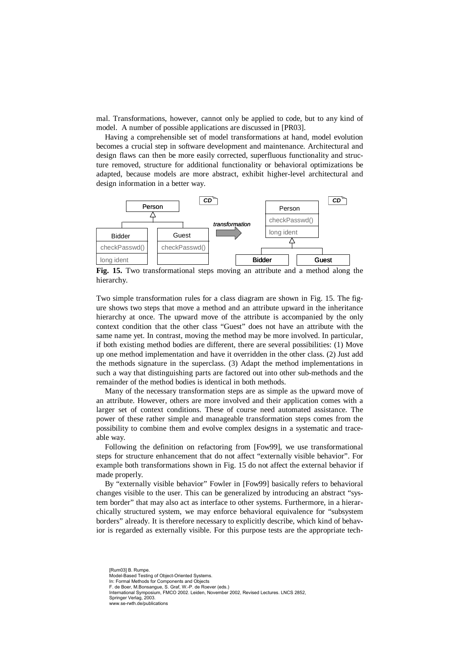mal. Transformations, however, cannot only be applied to code, but to any kind of model. A number of possible applications are discussed in [PR03].

Having a comprehensible set of model transformations at hand, model evolution becomes a crucial step in software development and maintenance. Architectural and design flaws can then be more easily corrected, superfluous functionality and structure removed, structure for additional functionality or behavioral optimizations be adapted, because models are more abstract, exhibit higher-level architectural and design information in a better way.



**Fig. 15.** Two transformational steps moving an attribute and a method along the hierarchy.

Two simple transformation rules for a class diagram are shown in Fig. 15. The figure shows two steps that move a method and an attribute upward in the inheritance hierarchy at once. The upward move of the attribute is accompanied by the only context condition that the other class "Guest" does not have an attribute with the same name yet. In contrast, moving the method may be more involved. In particular, if both existing method bodies are different, there are several possibilities: (1) Move up one method implementation and have it overridden in the other class. (2) Just add the methods signature in the superclass. (3) Adapt the method implementations in such a way that distinguishing parts are factored out into other sub-methods and the remainder of the method bodies is identical in both methods.

Many of the necessary transformation steps are as simple as the upward move of an attribute. However, others are more involved and their application comes with a larger set of context conditions. These of course need automated assistance. The power of these rather simple and manageable transformation steps comes from the possibility to combine them and evolve complex designs in a systematic and traceable way.

Following the definition on refactoring from [Fow99], we use transformational steps for structure enhancement that do not affect "externally visible behavior". For example both transformations shown in Fig. 15 do not affect the external behavior if made properly.

By "externally visible behavior" Fowler in [Fow99] basically refers to behavioral changes visible to the user. This can be generalized by introducing an abstract "system border" that may also act as interface to other systems. Furthermore, in a hierarchically structured system, we may enforce behavioral equivalence for "subsystem borders" already. It is therefore necessary to explicitly describe, which kind of behavior is regarded as externally visible. For this purpose tests are the appropriate tech-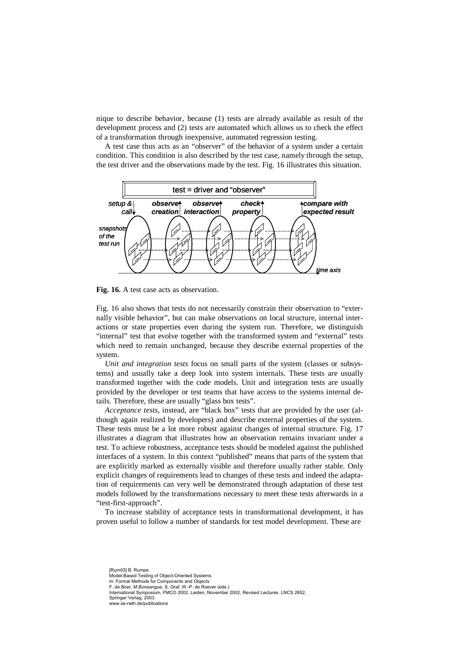nique to describe behavior, because (1) tests are already available as result of the development process and (2) tests are automated which allows us to check the effect of a transformation through inexpensive, automated regression testing.

A test case thus acts as an "observer" of the behavior of a system under a certain condition. This condition is also described by the test case, namely through the setup, the test driver and the observations made by the test. Fig. 16 illustrates this situation.



Fig. 16. A test case acts as observation.

Fig. 16 also shows that tests do not necessarily constrain their observation to "externally visible behavior", but can make observations on local structure, internal interactions or state properties even during the system run. Therefore, we distinguish "internal" test that evolve together with the transformed system and "external" tests which need to remain unchanged, because they describe external properties of the system.

*Unit and integration tests* focus on small parts of the system (classes or subsystems) and usually take a deep look into system internals. These tests are usually transformed together with the code models. Unit and integration tests are usually provided by the developer or test teams that have access to the systems internal details. Therefore, these are usually "glass box tests".

*Acceptance tests*, instead, are "black box" tests that are provided by the user (although again realized by developers) and describe external properties of the system. These tests must be a lot more robust against changes of internal structure. Fig. 17 illustrates a diagram that illustrates how an observation remains invariant under a test. To achieve robustness, acceptance tests should be modeled against the published interfaces of a system. In this context "published" means that parts of the system that are explicitly marked as externally visible and therefore usually rather stable. Only explicit changes of requirements lead to changes of these tests and indeed the adaptation of requirements can very well be demonstrated through adaptation of these test models followed by the transformations necessary to meet these tests afterwards in a "test-first-approach".

To increase stability of acceptance tests in transformational development, it has proven useful to follow a number of standards for test model development. These are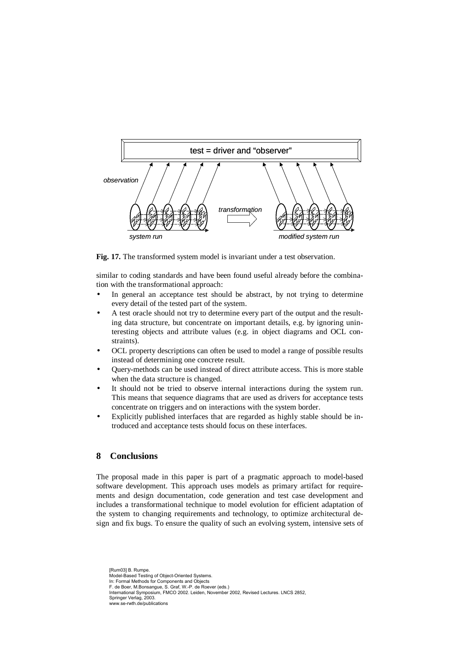

**Fig. 17.** The transformed system model is invariant under a test observation.

similar to coding standards and have been found useful already before the combination with the transformational approach:

- In general an acceptance test should be abstract, by not trying to determine every detail of the tested part of the system.
- A test oracle should not try to determine every part of the output and the resulting data structure, but concentrate on important details, e.g. by ignoring uninteresting objects and attribute values (e.g. in object diagrams and OCL constraints).
- OCL property descriptions can often be used to model a range of possible results instead of determining one concrete result.
- Query-methods can be used instead of direct attribute access. This is more stable when the data structure is changed.
- It should not be tried to observe internal interactions during the system run. This means that sequence diagrams that are used as drivers for acceptance tests concentrate on triggers and on interactions with the system border.
- Explicitly published interfaces that are regarded as highly stable should be introduced and acceptance tests should focus on these interfaces.

### **8 Conclusions**

The proposal made in this paper is part of a pragmatic approach to model-based software development. This approach uses models as primary artifact for requirements and design documentation, code generation and test case development and includes a transformational technique to model evolution for efficient adaptation of the system to changing requirements and technology, to optimize architectural design and fix bugs. To ensure the quality of such an evolving system, intensive sets of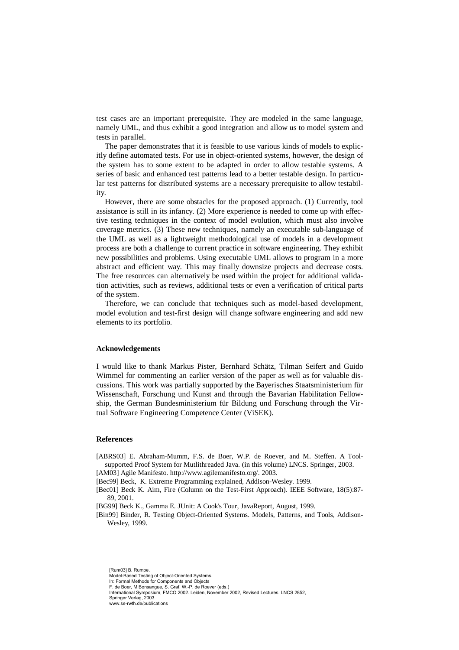test cases are an important prerequisite. They are modeled in the same language, namely UML, and thus exhibit a good integration and allow us to model system and tests in parallel.

The paper demonstrates that it is feasible to use various kinds of models to explicitly define automated tests. For use in object-oriented systems, however, the design of the system has to some extent to be adapted in order to allow testable systems. A series of basic and enhanced test patterns lead to a better testable design. In particular test patterns for distributed systems are a necessary prerequisite to allow testability.

However, there are some obstacles for the proposed approach. (1) Currently, tool assistance is still in its infancy. (2) More experience is needed to come up with effective testing techniques in the context of model evolution, which must also involve coverage metrics. (3) These new techniques, namely an executable sub-language of the UML as well as a lightweight methodological use of models in a development process are both a challenge to current practice in software engineering. They exhibit new possibilities and problems. Using executable UML allows to program in a more abstract and efficient way. This may finally downsize projects and decrease costs. The free resources can alternatively be used within the project for additional validation activities, such as reviews, additional tests or even a verification of critical parts of the system.

Therefore, we can conclude that techniques such as model-based development, model evolution and test-first design will change software engineering and add new elements to its portfolio.

#### **Acknowledgements**

I would like to thank Markus Pister, Bernhard Schätz, Tilman Seifert and Guido Wimmel for commenting an earlier version of the paper as well as for valuable discussions. This work was partially supported by the Bayerisches Staatsministerium für Wissenschaft, Forschung und Kunst and through the Bavarian Habilitation Fellowship, the German Bundesministerium für Bildung und Forschung through the Virtual Software Engineering Competence Center (ViSEK).

#### **References**

[ABRS03] E. Abraham-Mumm, F.S. de Boer, W.P. de Roever, and M. Steffen. A Toolsupported Proof System for Mutlithreaded Java. (in this volume) LNCS. Springer, 2003.

[AM03] Agile Manifesto. http://www.agilemanifesto.org/. 2003.

[Bec99] Beck, K. Extreme Programming explained, Addison-Wesley. 1999.

- [Bec01] Beck K. Aim, Fire (Column on the Test-First Approach). IEEE Software, 18(5):87- 89, 2001.
- [BG99] Beck K., Gamma E. JUnit: A Cook's Tour, JavaReport, August, 1999.

[Bin99] Binder, R. Testing Object-Oriented Systems. Models, Patterns, and Tools, Addison-Wesley, 1999.